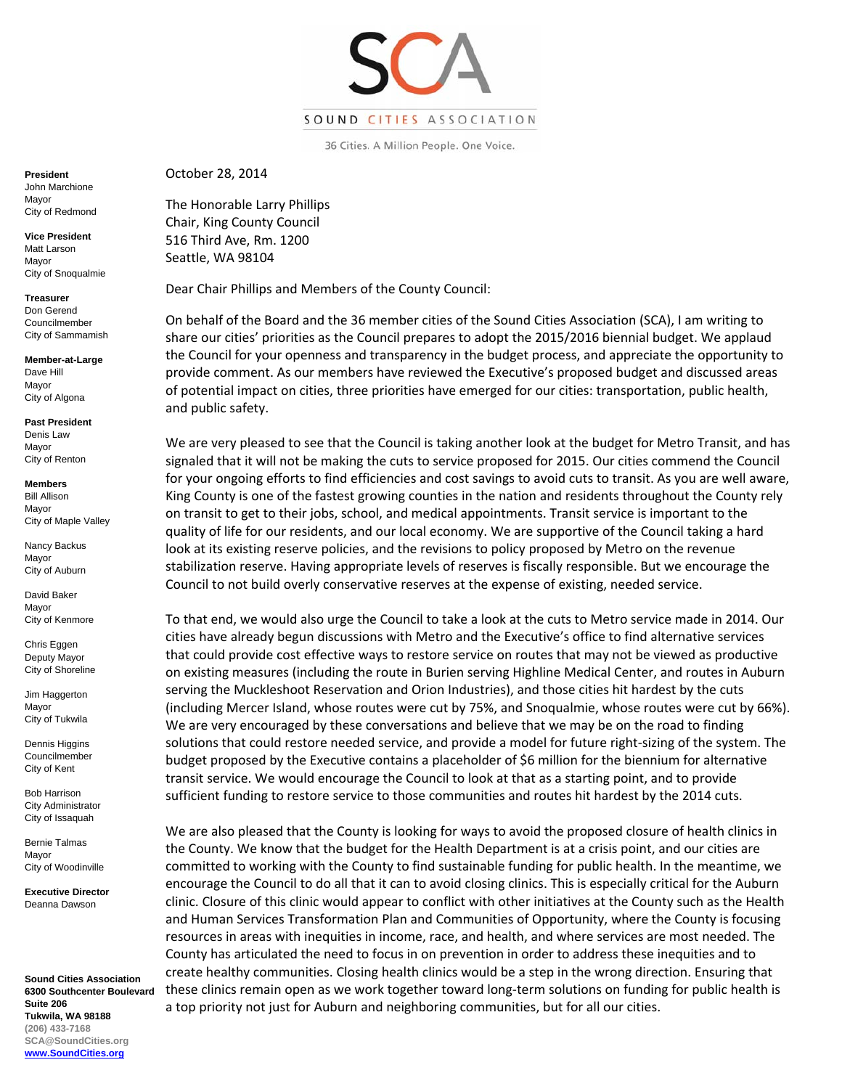

36 Cities. A Million People. One Voice.

**President**  John Marchione Mayor City of Redmond

**Vice President**  Matt Larson Mayor City of Snoqualmie

**Treasurer**  Don Gerend Councilmember City of Sammamish

**Member-at-Large**  Dave Hill Mayor City of Algona

**Past President**  Denis Law Mayor City of Renton

**Members**  Bill Allison Mayor City of Maple Valley

Nancy Backus Mayor City of Auburn

David Baker Mayor City of Kenmore

Chris Eggen Deputy Mayor City of Shoreline

Jim Haggerton Mayor City of Tukwila

Dennis Higgins Councilmember City of Kent

Bob Harrison City Administrator City of Issaquah

Bernie Talmas Mayor City of Woodinville

**Executive Director**  Deanna Dawson

**Sound Cities Association 6300 Southcenter Boulevard Suite 206 Tukwila, WA 98188 (206) 433-7168 SCA@SoundCities.org www.SoundCities.org** 

October 28, 2014

The Honorable Larry Phillips Chair, King County Council 516 Third Ave, Rm. 1200 Seattle, WA 98104

Dear Chair Phillips and Members of the County Council:

On behalf of the Board and the 36 member cities of the Sound Cities Association (SCA), I am writing to share our cities' priorities as the Council prepares to adopt the 2015/2016 biennial budget. We applaud the Council for your openness and transparency in the budget process, and appreciate the opportunity to provide comment. As our members have reviewed the Executive's proposed budget and discussed areas of potential impact on cities, three priorities have emerged for our cities: transportation, public health, and public safety.

We are very pleased to see that the Council is taking another look at the budget for Metro Transit, and has signaled that it will not be making the cuts to service proposed for 2015. Our cities commend the Council for your ongoing efforts to find efficiencies and cost savings to avoid cuts to transit. As you are well aware, King County is one of the fastest growing counties in the nation and residents throughout the County rely on transit to get to their jobs, school, and medical appointments. Transit service is important to the quality of life for our residents, and our local economy. We are supportive of the Council taking a hard look at its existing reserve policies, and the revisions to policy proposed by Metro on the revenue stabilization reserve. Having appropriate levels of reserves is fiscally responsible. But we encourage the Council to not build overly conservative reserves at the expense of existing, needed service.

To that end, we would also urge the Council to take a look at the cuts to Metro service made in 2014. Our cities have already begun discussions with Metro and the Executive's office to find alternative services that could provide cost effective ways to restore service on routes that may not be viewed as productive on existing measures (including the route in Burien serving Highline Medical Center, and routes in Auburn serving the Muckleshoot Reservation and Orion Industries), and those cities hit hardest by the cuts (including Mercer Island, whose routes were cut by 75%, and Snoqualmie, whose routes were cut by 66%). We are very encouraged by these conversations and believe that we may be on the road to finding solutions that could restore needed service, and provide a model for future right‐sizing of the system. The budget proposed by the Executive contains a placeholder of \$6 million for the biennium for alternative transit service. We would encourage the Council to look at that as a starting point, and to provide sufficient funding to restore service to those communities and routes hit hardest by the 2014 cuts.

We are also pleased that the County is looking for ways to avoid the proposed closure of health clinics in the County. We know that the budget for the Health Department is at a crisis point, and our cities are committed to working with the County to find sustainable funding for public health. In the meantime, we encourage the Council to do all that it can to avoid closing clinics. This is especially critical for the Auburn clinic. Closure of this clinic would appear to conflict with other initiatives at the County such as the Health and Human Services Transformation Plan and Communities of Opportunity, where the County is focusing resources in areas with inequities in income, race, and health, and where services are most needed. The County has articulated the need to focus in on prevention in order to address these inequities and to create healthy communities. Closing health clinics would be a step in the wrong direction. Ensuring that these clinics remain open as we work together toward long‐term solutions on funding for public health is a top priority not just for Auburn and neighboring communities, but for all our cities.